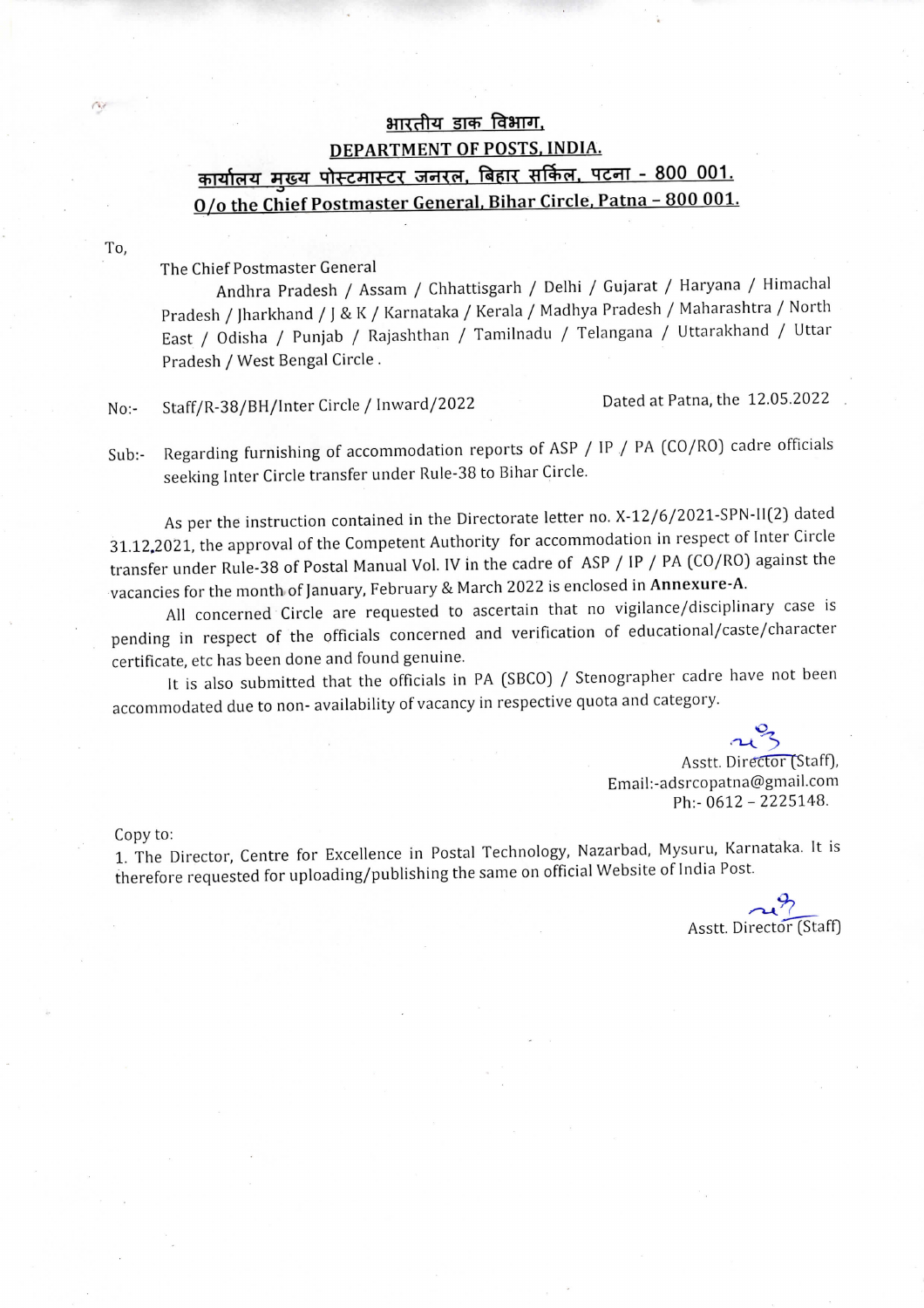## भारतीय डाक विभाग. DEPARTMENT OF POSTS, INDIA.<br><u>कार्यालय मुख्य पोस्टमास्टर जनरल, बिहार सर्किल, पटना - 800 001.</u> O/o the Chief Postmaster General, Bihar Circle, Patna - 800 001.

To,

CV.

## The Chief Postmaster General

Andhra Pradesh / Assam / Chhattisgarh / Delhi / Gujarat / Haryana / Himachal Pradesh / )harkhand / ) & K / Karnataka / Kerala / Madhya Pradesh / Maharashtra / North East / Odisha / Punjab / Rajashthan / Tamilnadu / Telangana / Uttarakhand / Uttar Pradesh / West Bengal Circle .

 $No:$ Staff/R-38/BH/Inter Circle / Inward/2022 Dated at Patna, the 12.05.2022

Sub:- Regarding furnishing of accommodation reports of ASP / IP / PA (CO/RO) cadre officials seeking Inter Circle transfer under Rule-38 to Bihar Circle.

As per the instruction contained in the Directorate letter no. X-12/6/2021-SPN-lI(2) dated 31.12.2021, the approval of the Competent Authority for accommodation in respect of Inter Circle transfer under Rule-38 of Postal Manual Vol. IV in the cadre of ASP / IP / PA (CO/RO) against the vacancies for the month of )anuary, February & March 2022 is enclosed in Annexure-A.

All concerned Circle are requested to ascertain that no vigilance/disciplinary case is pending in respect of the officials concerned and verification of educational/caste/character certificate, etc has been done and found genuine.

It is also submitted that the officials in PA (SBCO) / Stenographer cadre have not been accommodated due to non-availability of vacancy in respective quota and category.

 $\sim$ 3

Asstt. Director (Staff), Email:-adsrcopatna@gmail.com Ph:- 0612 - 2225148.

Copy to:

1. The Director, Centre for Excellence in Postal Technology, Nazarbad, Mysuru, Karnataka. It is therefore requested for uploading/publishing the same on official Website of India Post.

Asstt. Director (Staff)